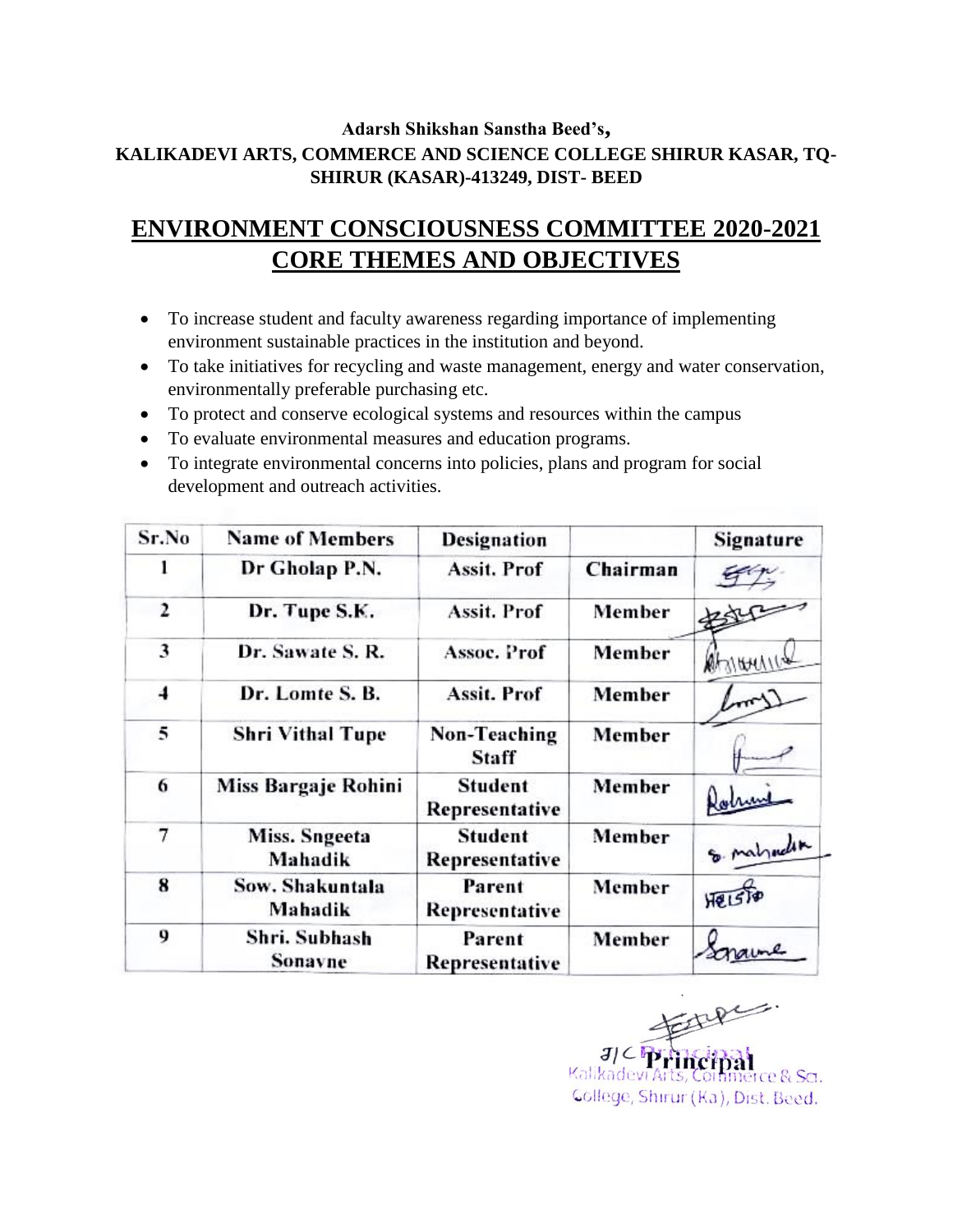## **Adarsh Shikshan Sanstha Beed's, KALIKADEVI ARTS, COMMERCE AND SCIENCE COLLEGE SHIRUR KASAR, TQ-SHIRUR (KASAR)-413249, DIST- BEED**

# **ENVIRONMENT CONSCIOUSNESS COMMITTEE 2020-2021 CORE THEMES AND OBJECTIVES**

- To increase student and faculty awareness regarding importance of implementing environment sustainable practices in the institution and beyond.
- To take initiatives for recycling and waste management, energy and water conservation, environmentally preferable purchasing etc.
- To protect and conserve ecological systems and resources within the campus
- To evaluate environmental measures and education programs.
- To integrate environmental concerns into policies, plans and program for social development and outreach activities.

| Sr.No | <b>Name of Members</b>     | <b>Designation</b>               |          | Signature  |
|-------|----------------------------|----------------------------------|----------|------------|
| ı     | Dr Gholap P.N.             | Assit. Prof                      | Chairman |            |
| 2     | Dr. Tupe S.K.              | Assit. Prof                      | Member   |            |
| 3     | Dr. Sawate S. R.           | Assoc. Prof                      | Member   | MAINTANIC  |
| 4     | Dr. Lomte S. B.            | <b>Assit. Prof</b>               | Member   |            |
| 5     | <b>Shri Vithal Tupe</b>    | Non-Teaching<br>Staff            | Member   |            |
| 6     | Miss Bargaje Rohini        | Student<br>Representative        | Member   |            |
| 7     | Miss. Sngeeta<br>Mahadik   | <b>Student</b><br>Representative | Member   | & malyoder |
| 8     | Sow. Shakuntala<br>Mahadik | Parent<br>Representative         | Member   | HQISR      |
| 9     | Shri. Subhash<br>Sonavne   | Parent<br>Representative         | Member   |            |

Kalikadevi rce & Sa. Gollege, Shirur (Ka), Dist. Beed.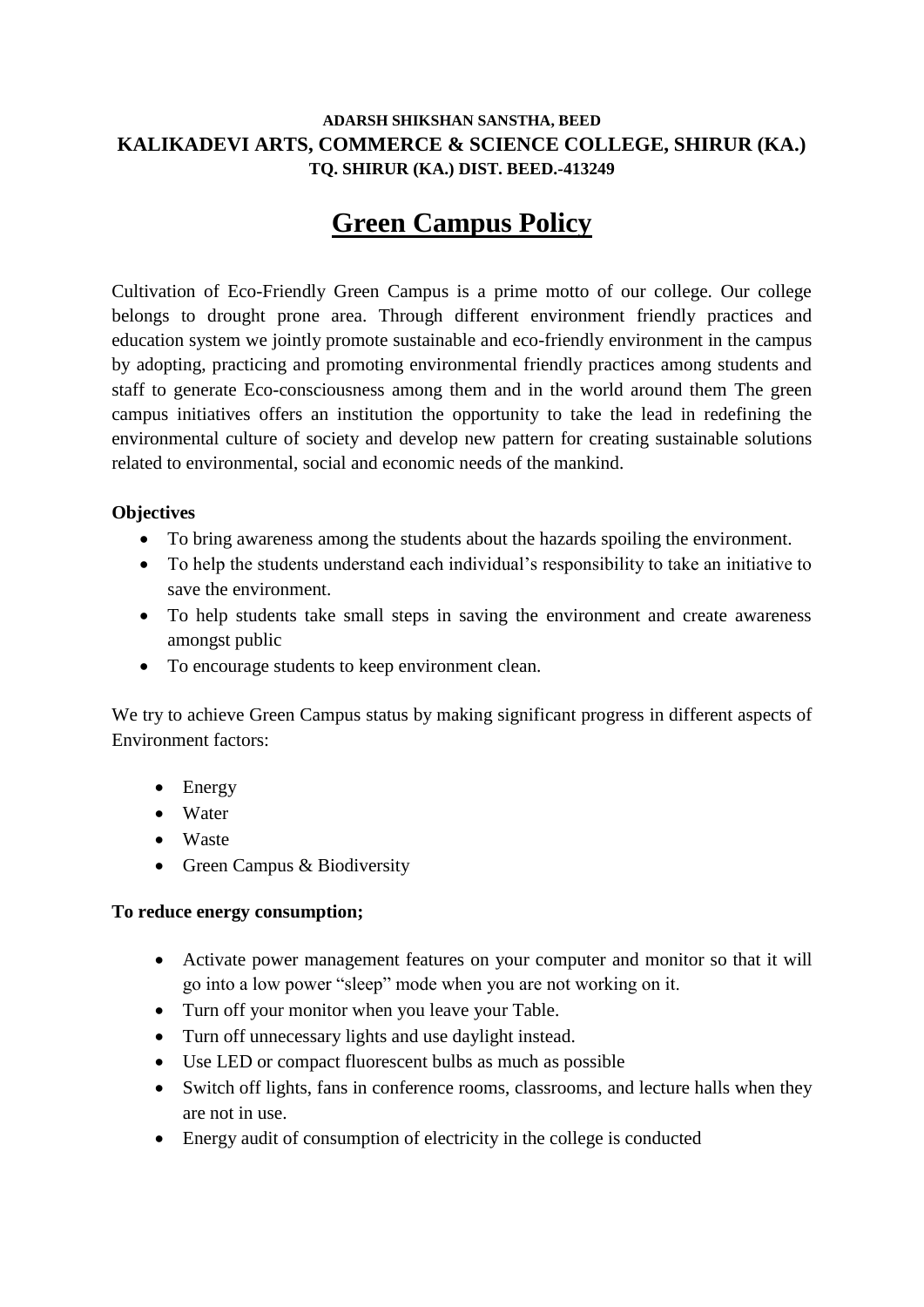### **ADARSH SHIKSHAN SANSTHA, BEED KALIKADEVI ARTS, COMMERCE & SCIENCE COLLEGE, SHIRUR (KA.) TQ. SHIRUR (KA.) DIST. BEED.-413249**

# **Green Campus Policy**

Cultivation of Eco-Friendly Green Campus is a prime motto of our college. Our college belongs to drought prone area. Through different environment friendly practices and education system we jointly promote sustainable and eco-friendly environment in the campus by adopting, practicing and promoting environmental friendly practices among students and staff to generate Eco-consciousness among them and in the world around them The green campus initiatives offers an institution the opportunity to take the lead in redefining the environmental culture of society and develop new pattern for creating sustainable solutions related to environmental, social and economic needs of the mankind.

### **Objectives**

- To bring awareness among the students about the hazards spoiling the environment.
- To help the students understand each individual's responsibility to take an initiative to save the environment.
- To help students take small steps in saving the environment and create awareness amongst public
- To encourage students to keep environment clean.

We try to achieve Green Campus status by making significant progress in different aspects of Environment factors:

- Energy
- Water
- Waste
- Green Campus & Biodiversity

#### **To reduce energy consumption;**

- Activate power management features on your computer and monitor so that it will go into a low power "sleep" mode when you are not working on it.
- Turn off your monitor when you leave your Table.
- Turn off unnecessary lights and use daylight instead.
- Use LED or compact fluorescent bulbs as much as possible
- Switch off lights, fans in conference rooms, classrooms, and lecture halls when they are not in use.
- Energy audit of consumption of electricity in the college is conducted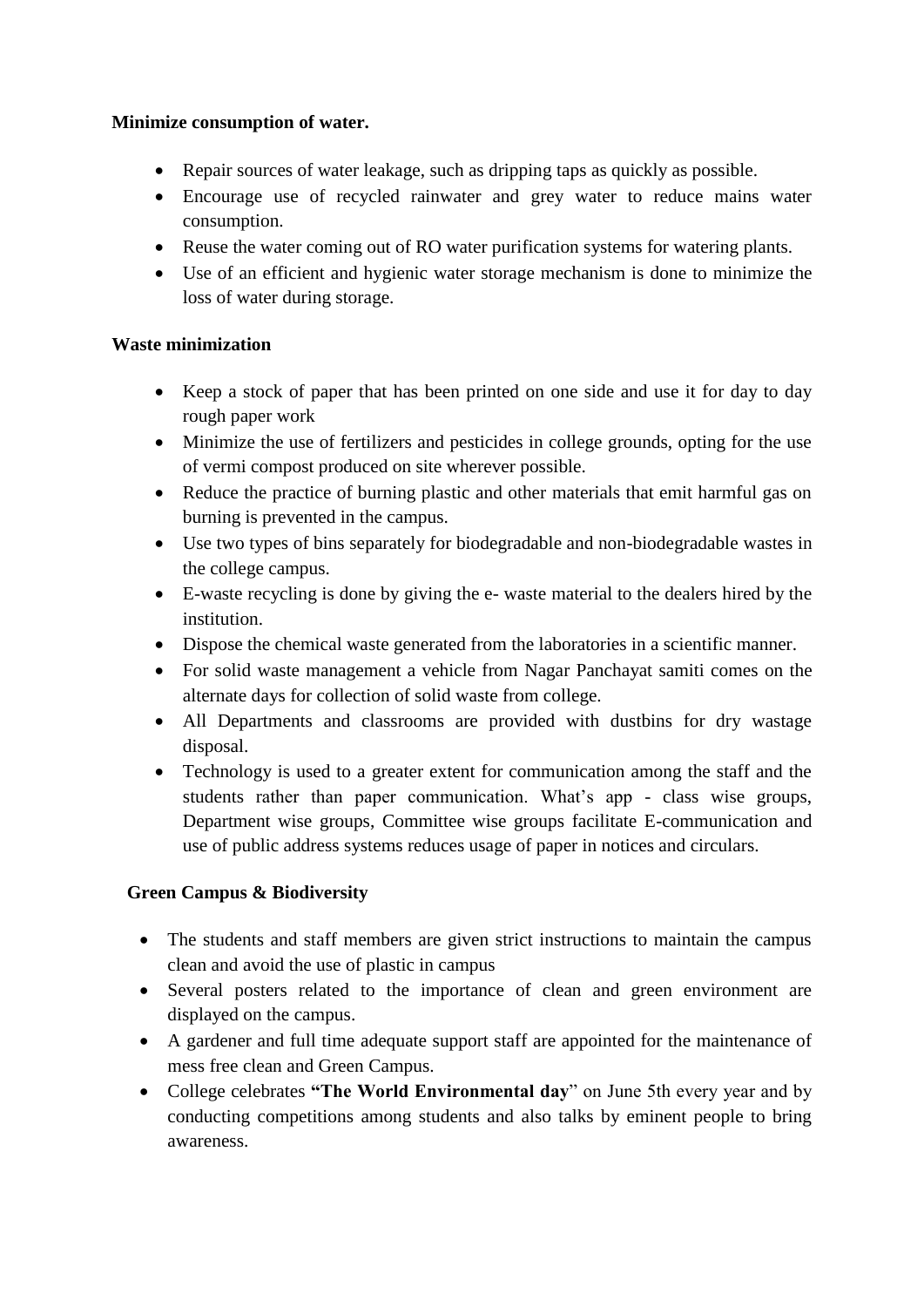#### **Minimize consumption of water.**

- Repair sources of water leakage, such as dripping taps as quickly as possible.
- Encourage use of recycled rainwater and grey water to reduce mains water consumption.
- Reuse the water coming out of RO water purification systems for watering plants.
- Use of an efficient and hygienic water storage mechanism is done to minimize the loss of water during storage.

### **Waste minimization**

- Keep a stock of paper that has been printed on one side and use it for day to day rough paper work
- Minimize the use of fertilizers and pesticides in college grounds, opting for the use of vermi compost produced on site wherever possible.
- Reduce the practice of burning plastic and other materials that emit harmful gas on burning is prevented in the campus.
- Use two types of bins separately for biodegradable and non-biodegradable wastes in the college campus.
- E-waste recycling is done by giving the e- waste material to the dealers hired by the institution.
- Dispose the chemical waste generated from the laboratories in a scientific manner.
- For solid waste management a vehicle from Nagar Panchayat samiti comes on the alternate days for collection of solid waste from college.
- All Departments and classrooms are provided with dustbins for dry wastage disposal.
- Technology is used to a greater extent for communication among the staff and the students rather than paper communication. What's app - class wise groups, Department wise groups, Committee wise groups facilitate E-communication and use of public address systems reduces usage of paper in notices and circulars.

## **Green Campus & Biodiversity**

- The students and staff members are given strict instructions to maintain the campus clean and avoid the use of plastic in campus
- Several posters related to the importance of clean and green environment are displayed on the campus.
- A gardener and full time adequate support staff are appointed for the maintenance of mess free clean and Green Campus.
- College celebrates **"The World Environmental day**" on June 5th every year and by conducting competitions among students and also talks by eminent people to bring awareness.